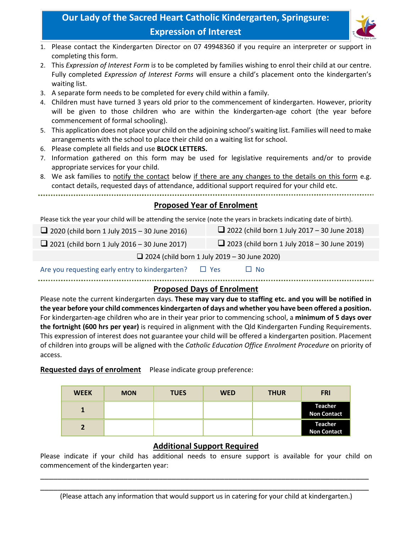# **Our Lady of the Sacred Heart Catholic Kindergarten, Springsure: Expression of Interest**



- 1. Please contact the Kindergarten Director on 07 49948360 if you require an interpreter or support in completing this form.
- 2. This *Expression of Interest Form* i*s* to be completed by families wishing to enrol their child at our centre. Fully completed *Expression of Interest Forms* will ensure a child's placement onto the kindergarten's waiting list.
- 3. A separate form needs to be completed for every child within a family.
- 4. Children must have turned 3 years old prior to the commencement of kindergarten. However, priority will be given to those children who are within the kindergarten-age cohort (the year before commencement of formal schooling).
- 5. This application does not place your child on the adjoining school's waiting list. Families will need to make arrangements with the school to place their child on a waiting list for school.
- 6. Please complete all fields and use **BLOCK LETTERS.**
- 7. Information gathered on this form may be used for legislative requirements and/or to provide appropriate services for your child.
- 8. We ask families to notify the contact below if there are any changes to the details on this form e.g. contact details, requested days of attendance, additional support required for your child etc.

### **Proposed Year of Enrolment**

Please tick the year your child will be attending the service (note the years in brackets indicating date of birth).

| 2020 (child born 1 July 2015 – 30 June 2016) | 2022 (child born 1 July 2017 – 30 June 2018) |
|----------------------------------------------|----------------------------------------------|
|                                              |                                              |
|                                              |                                              |

 $\Box$  2021 (child born 1 July 2016 – 30 June 2017)  $\Box$  2023 (child born 1 July 2018 – 30 June 2019)

 $\Box$  2024 (child born 1 July 2019 – 30 June 2020)

Are you requesting early entry to kindergarten?  $\Box$  Yes  $\Box$  No

#### **Proposed Days of Enrolment**

Please note the current kindergarten days. **These may vary due to staffing etc. and you will be notified in the year before your child commences kindergarten of days and whether you have been offered a position.** For kindergarten‐age children who are in their year prior to commencing school, a **minimum of 5 days over the fortnight (600 hrs per year)** is required in alignment with the Qld Kindergarten Funding Requirements. This expression of interest does not guarantee your child will be offered a kindergarten position. Placement of children into groups will be aligned with the *Catholic Education Office Enrolment Procedure* on priority of access.

#### **Requested days of enrolment** Please indicate group preference:

| <b>WEEK</b>  | <b>MON</b> | <b>TUES</b> | <b>WED</b> | <b>THUR</b> | <b>FRI</b>                           |
|--------------|------------|-------------|------------|-------------|--------------------------------------|
|              |            |             |            |             | <b>Teacher</b><br><b>Non Contact</b> |
| $\mathbf{r}$ |            |             |            |             | <b>Teacher</b><br><b>Non Contact</b> |

## **Additional Support Required**

Please indicate if your child has additional needs to ensure support is available for your child on commencement of the kindergarten year:

\_\_\_\_\_\_\_\_\_\_\_\_\_\_\_\_\_\_\_\_\_\_\_\_\_\_\_\_\_\_\_\_\_\_\_\_\_\_\_\_\_\_\_\_\_\_\_\_\_\_\_\_\_\_\_\_\_\_\_\_\_\_\_\_\_\_\_\_\_\_\_\_\_\_\_